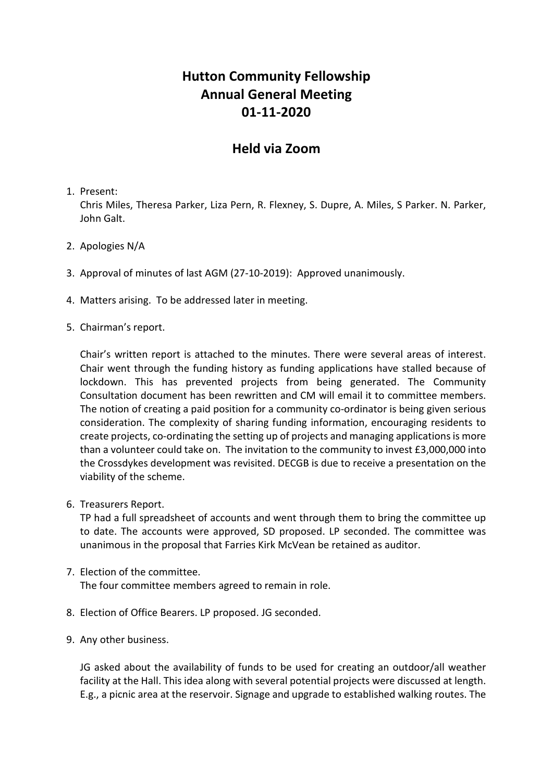# **Hutton Community Fellowship Annual General Meeting 01-11-2020**

## **Held via Zoom**

#### 1. Present:

Chris Miles, Theresa Parker, Liza Pern, R. Flexney, S. Dupre, A. Miles, S Parker. N. Parker, John Galt.

- 2. Apologies N/A
- 3. Approval of minutes of last AGM (27-10-2019): Approved unanimously.
- 4. Matters arising. To be addressed later in meeting.
- 5. Chairman's report.

Chair's written report is attached to the minutes. There were several areas of interest. Chair went through the funding history as funding applications have stalled because of lockdown. This has prevented projects from being generated. The Community Consultation document has been rewritten and CM will email it to committee members. The notion of creating a paid position for a community co-ordinator is being given serious consideration. The complexity of sharing funding information, encouraging residents to create projects, co-ordinating the setting up of projects and managing applications is more than a volunteer could take on. The invitation to the community to invest £3,000,000 into the Crossdykes development was revisited. DECGB is due to receive a presentation on the viability of the scheme.

6. Treasurers Report.

TP had a full spreadsheet of accounts and went through them to bring the committee up to date. The accounts were approved, SD proposed. LP seconded. The committee was unanimous in the proposal that Farries Kirk McVean be retained as auditor.

#### 7. Election of the committee.

The four committee members agreed to remain in role.

- 8. Election of Office Bearers. LP proposed. JG seconded.
- 9. Any other business.

JG asked about the availability of funds to be used for creating an outdoor/all weather facility at the Hall. This idea along with several potential projects were discussed at length. E.g., a picnic area at the reservoir. Signage and upgrade to established walking routes. The